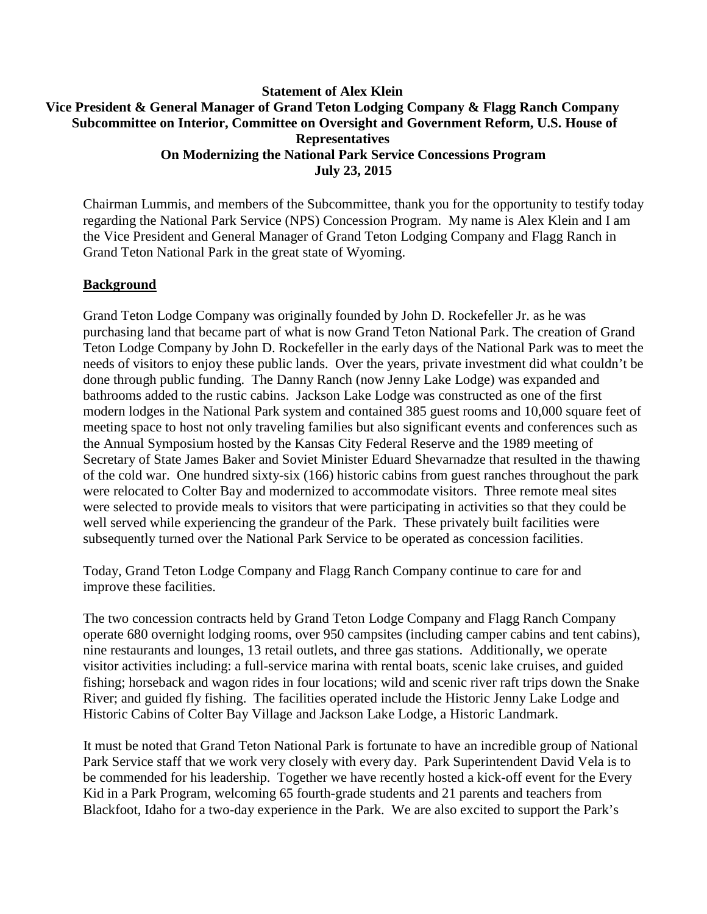# **Statement of Alex Klein Vice President & General Manager of Grand Teton Lodging Company & Flagg Ranch Company Subcommittee on Interior, Committee on Oversight and Government Reform, U.S. House of Representatives On Modernizing the National Park Service Concessions Program July 23, 2015**

Chairman Lummis, and members of the Subcommittee, thank you for the opportunity to testify today regarding the National Park Service (NPS) Concession Program. My name is Alex Klein and I am the Vice President and General Manager of Grand Teton Lodging Company and Flagg Ranch in Grand Teton National Park in the great state of Wyoming.

### **Background**

Grand Teton Lodge Company was originally founded by John D. Rockefeller Jr. as he was purchasing land that became part of what is now Grand Teton National Park. The creation of Grand Teton Lodge Company by John D. Rockefeller in the early days of the National Park was to meet the needs of visitors to enjoy these public lands. Over the years, private investment did what couldn't be done through public funding. The Danny Ranch (now Jenny Lake Lodge) was expanded and bathrooms added to the rustic cabins. Jackson Lake Lodge was constructed as one of the first modern lodges in the National Park system and contained 385 guest rooms and 10,000 square feet of meeting space to host not only traveling families but also significant events and conferences such as the Annual Symposium hosted by the Kansas City Federal Reserve and the 1989 meeting of Secretary of State James Baker and Soviet Minister Eduard Shevarnadze that resulted in the thawing of the cold war. One hundred sixty-six (166) historic cabins from guest ranches throughout the park were relocated to Colter Bay and modernized to accommodate visitors. Three remote meal sites were selected to provide meals to visitors that were participating in activities so that they could be well served while experiencing the grandeur of the Park. These privately built facilities were subsequently turned over the National Park Service to be operated as concession facilities.

Today, Grand Teton Lodge Company and Flagg Ranch Company continue to care for and improve these facilities.

The two concession contracts held by Grand Teton Lodge Company and Flagg Ranch Company operate 680 overnight lodging rooms, over 950 campsites (including camper cabins and tent cabins), nine restaurants and lounges, 13 retail outlets, and three gas stations. Additionally, we operate visitor activities including: a full-service marina with rental boats, scenic lake cruises, and guided fishing; horseback and wagon rides in four locations; wild and scenic river raft trips down the Snake River; and guided fly fishing. The facilities operated include the Historic Jenny Lake Lodge and Historic Cabins of Colter Bay Village and Jackson Lake Lodge, a Historic Landmark.

It must be noted that Grand Teton National Park is fortunate to have an incredible group of National Park Service staff that we work very closely with every day. Park Superintendent David Vela is to be commended for his leadership. Together we have recently hosted a kick-off event for the Every Kid in a Park Program, welcoming 65 fourth-grade students and 21 parents and teachers from Blackfoot, Idaho for a two-day experience in the Park. We are also excited to support the Park's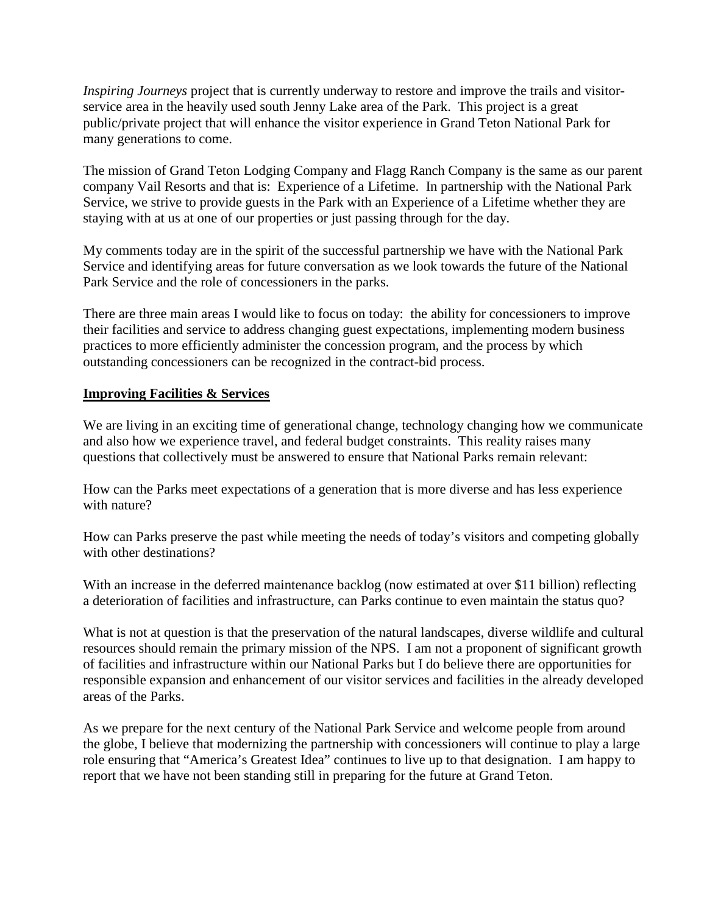*Inspiring Journeys* project that is currently underway to restore and improve the trails and visitorservice area in the heavily used south Jenny Lake area of the Park. This project is a great public/private project that will enhance the visitor experience in Grand Teton National Park for many generations to come.

The mission of Grand Teton Lodging Company and Flagg Ranch Company is the same as our parent company Vail Resorts and that is: Experience of a Lifetime. In partnership with the National Park Service, we strive to provide guests in the Park with an Experience of a Lifetime whether they are staying with at us at one of our properties or just passing through for the day.

My comments today are in the spirit of the successful partnership we have with the National Park Service and identifying areas for future conversation as we look towards the future of the National Park Service and the role of concessioners in the parks.

There are three main areas I would like to focus on today: the ability for concessioners to improve their facilities and service to address changing guest expectations, implementing modern business practices to more efficiently administer the concession program, and the process by which outstanding concessioners can be recognized in the contract-bid process.

# **Improving Facilities & Services**

We are living in an exciting time of generational change, technology changing how we communicate and also how we experience travel, and federal budget constraints. This reality raises many questions that collectively must be answered to ensure that National Parks remain relevant:

How can the Parks meet expectations of a generation that is more diverse and has less experience with nature?

How can Parks preserve the past while meeting the needs of today's visitors and competing globally with other destinations?

With an increase in the deferred maintenance backlog (now estimated at over \$11 billion) reflecting a deterioration of facilities and infrastructure, can Parks continue to even maintain the status quo?

What is not at question is that the preservation of the natural landscapes, diverse wildlife and cultural resources should remain the primary mission of the NPS. I am not a proponent of significant growth of facilities and infrastructure within our National Parks but I do believe there are opportunities for responsible expansion and enhancement of our visitor services and facilities in the already developed areas of the Parks.

As we prepare for the next century of the National Park Service and welcome people from around the globe, I believe that modernizing the partnership with concessioners will continue to play a large role ensuring that "America's Greatest Idea" continues to live up to that designation. I am happy to report that we have not been standing still in preparing for the future at Grand Teton.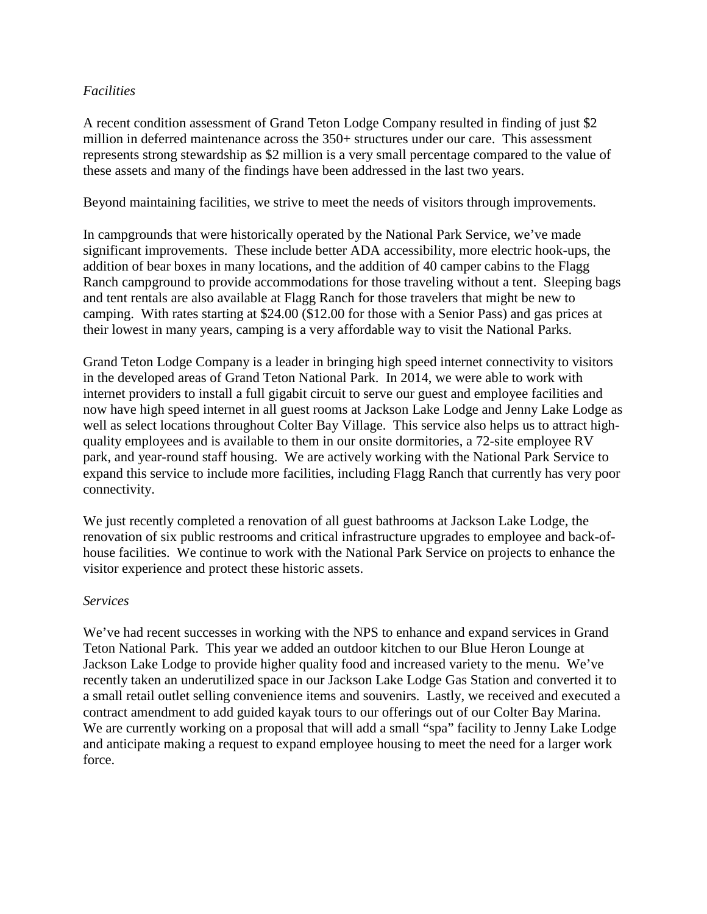#### *Facilities*

A recent condition assessment of Grand Teton Lodge Company resulted in finding of just \$2 million in deferred maintenance across the 350+ structures under our care. This assessment represents strong stewardship as \$2 million is a very small percentage compared to the value of these assets and many of the findings have been addressed in the last two years.

Beyond maintaining facilities, we strive to meet the needs of visitors through improvements.

In campgrounds that were historically operated by the National Park Service, we've made significant improvements. These include better ADA accessibility, more electric hook-ups, the addition of bear boxes in many locations, and the addition of 40 camper cabins to the Flagg Ranch campground to provide accommodations for those traveling without a tent. Sleeping bags and tent rentals are also available at Flagg Ranch for those travelers that might be new to camping. With rates starting at \$24.00 (\$12.00 for those with a Senior Pass) and gas prices at their lowest in many years, camping is a very affordable way to visit the National Parks.

Grand Teton Lodge Company is a leader in bringing high speed internet connectivity to visitors in the developed areas of Grand Teton National Park. In 2014, we were able to work with internet providers to install a full gigabit circuit to serve our guest and employee facilities and now have high speed internet in all guest rooms at Jackson Lake Lodge and Jenny Lake Lodge as well as select locations throughout Colter Bay Village. This service also helps us to attract highquality employees and is available to them in our onsite dormitories, a 72-site employee RV park, and year-round staff housing. We are actively working with the National Park Service to expand this service to include more facilities, including Flagg Ranch that currently has very poor connectivity.

We just recently completed a renovation of all guest bathrooms at Jackson Lake Lodge, the renovation of six public restrooms and critical infrastructure upgrades to employee and back-ofhouse facilities. We continue to work with the National Park Service on projects to enhance the visitor experience and protect these historic assets.

#### *Services*

We've had recent successes in working with the NPS to enhance and expand services in Grand Teton National Park. This year we added an outdoor kitchen to our Blue Heron Lounge at Jackson Lake Lodge to provide higher quality food and increased variety to the menu. We've recently taken an underutilized space in our Jackson Lake Lodge Gas Station and converted it to a small retail outlet selling convenience items and souvenirs. Lastly, we received and executed a contract amendment to add guided kayak tours to our offerings out of our Colter Bay Marina. We are currently working on a proposal that will add a small "spa" facility to Jenny Lake Lodge and anticipate making a request to expand employee housing to meet the need for a larger work force.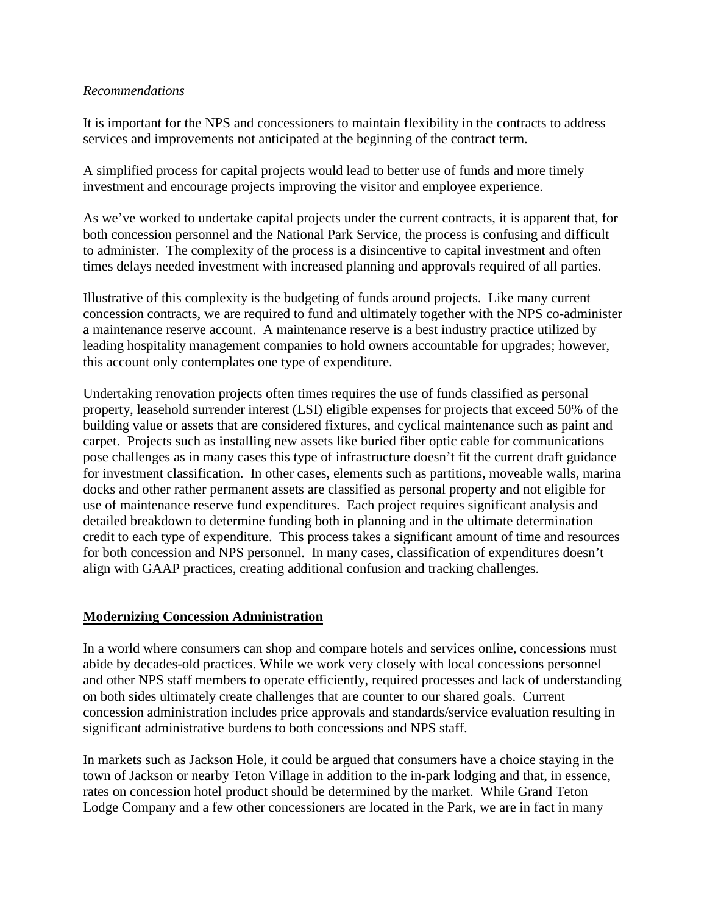#### *Recommendations*

It is important for the NPS and concessioners to maintain flexibility in the contracts to address services and improvements not anticipated at the beginning of the contract term.

A simplified process for capital projects would lead to better use of funds and more timely investment and encourage projects improving the visitor and employee experience.

As we've worked to undertake capital projects under the current contracts, it is apparent that, for both concession personnel and the National Park Service, the process is confusing and difficult to administer. The complexity of the process is a disincentive to capital investment and often times delays needed investment with increased planning and approvals required of all parties.

Illustrative of this complexity is the budgeting of funds around projects. Like many current concession contracts, we are required to fund and ultimately together with the NPS co-administer a maintenance reserve account. A maintenance reserve is a best industry practice utilized by leading hospitality management companies to hold owners accountable for upgrades; however, this account only contemplates one type of expenditure.

Undertaking renovation projects often times requires the use of funds classified as personal property, leasehold surrender interest (LSI) eligible expenses for projects that exceed 50% of the building value or assets that are considered fixtures, and cyclical maintenance such as paint and carpet. Projects such as installing new assets like buried fiber optic cable for communications pose challenges as in many cases this type of infrastructure doesn't fit the current draft guidance for investment classification. In other cases, elements such as partitions, moveable walls, marina docks and other rather permanent assets are classified as personal property and not eligible for use of maintenance reserve fund expenditures. Each project requires significant analysis and detailed breakdown to determine funding both in planning and in the ultimate determination credit to each type of expenditure. This process takes a significant amount of time and resources for both concession and NPS personnel. In many cases, classification of expenditures doesn't align with GAAP practices, creating additional confusion and tracking challenges.

#### **Modernizing Concession Administration**

In a world where consumers can shop and compare hotels and services online, concessions must abide by decades-old practices. While we work very closely with local concessions personnel and other NPS staff members to operate efficiently, required processes and lack of understanding on both sides ultimately create challenges that are counter to our shared goals. Current concession administration includes price approvals and standards/service evaluation resulting in significant administrative burdens to both concessions and NPS staff.

In markets such as Jackson Hole, it could be argued that consumers have a choice staying in the town of Jackson or nearby Teton Village in addition to the in-park lodging and that, in essence, rates on concession hotel product should be determined by the market. While Grand Teton Lodge Company and a few other concessioners are located in the Park, we are in fact in many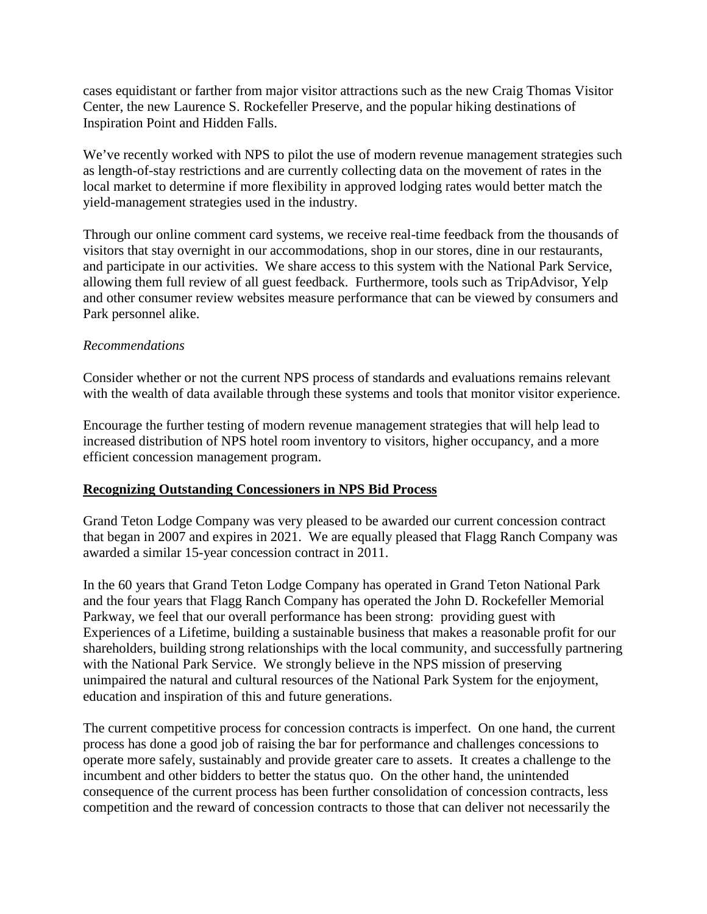cases equidistant or farther from major visitor attractions such as the new Craig Thomas Visitor Center, the new Laurence S. Rockefeller Preserve, and the popular hiking destinations of Inspiration Point and Hidden Falls.

We've recently worked with NPS to pilot the use of modern revenue management strategies such as length-of-stay restrictions and are currently collecting data on the movement of rates in the local market to determine if more flexibility in approved lodging rates would better match the yield-management strategies used in the industry.

Through our online comment card systems, we receive real-time feedback from the thousands of visitors that stay overnight in our accommodations, shop in our stores, dine in our restaurants, and participate in our activities. We share access to this system with the National Park Service, allowing them full review of all guest feedback. Furthermore, tools such as TripAdvisor, Yelp and other consumer review websites measure performance that can be viewed by consumers and Park personnel alike.

### *Recommendations*

Consider whether or not the current NPS process of standards and evaluations remains relevant with the wealth of data available through these systems and tools that monitor visitor experience.

Encourage the further testing of modern revenue management strategies that will help lead to increased distribution of NPS hotel room inventory to visitors, higher occupancy, and a more efficient concession management program.

# **Recognizing Outstanding Concessioners in NPS Bid Process**

Grand Teton Lodge Company was very pleased to be awarded our current concession contract that began in 2007 and expires in 2021. We are equally pleased that Flagg Ranch Company was awarded a similar 15-year concession contract in 2011.

In the 60 years that Grand Teton Lodge Company has operated in Grand Teton National Park and the four years that Flagg Ranch Company has operated the John D. Rockefeller Memorial Parkway, we feel that our overall performance has been strong: providing guest with Experiences of a Lifetime, building a sustainable business that makes a reasonable profit for our shareholders, building strong relationships with the local community, and successfully partnering with the National Park Service. We strongly believe in the NPS mission of preserving unimpaired the natural and cultural resources of the National Park System for the enjoyment, education and inspiration of this and future generations.

The current competitive process for concession contracts is imperfect. On one hand, the current process has done a good job of raising the bar for performance and challenges concessions to operate more safely, sustainably and provide greater care to assets. It creates a challenge to the incumbent and other bidders to better the status quo. On the other hand, the unintended consequence of the current process has been further consolidation of concession contracts, less competition and the reward of concession contracts to those that can deliver not necessarily the